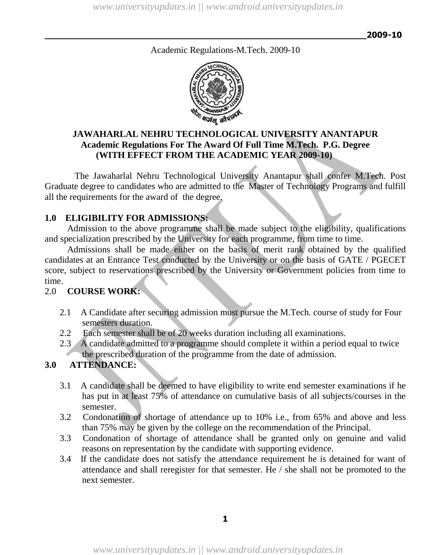Academic Regulations-M.Tech. 2009-10



# **JAWAHARLAL NEHRU TECHNOLOGICAL UNIVERSITY ANANTAPUR Academic Regulations For The Award Of Full Time M.Tech. P.G. Degree (WITH EFFECT FROM THE ACADEMIC YEAR 2009-10)**

The Jawaharlal Nehru Technological University Anantapur shall confer M.Tech. Post Graduate degree to candidates who are admitted to the Master of Technology Programs and fulfill all the requirements for the award of the degree.

# **1.0 ELIGIBILITY FOR ADMISSIONS:**

Admission to the above programme shall be made subject to the eligibility, qualifications and specialization prescribed by the University for each programme, from time to time.

Admissions shall be made either on the basis of merit rank obtained by the qualified candidates at an Entrance Test conducted by the University or on the basis of GATE / PGECET score, subject to reservations prescribed by the University or Government policies from time to time.

# 2.0 **COURSE WORK:**

- 2.1 A Candidate after securing admission must pursue the M.Tech. course of study for Four semesters duration.
- 2.2 Each semester shall be of 20 weeks duration including all examinations.
- 2.3 A candidate admitted to a programme should complete it within a period equal to twice the prescribed duration of the programme from the date of admission.

# **3.0 ATTENDANCE:**

- 3.1 A candidate shall be deemed to have eligibility to write end semester examinations if he has put in at least 75% of attendance on cumulative basis of all subjects/courses in the semester.
- 3.2 Condonation of shortage of attendance up to 10% i.e., from 65% and above and less than 75% may be given by the college on the recommendation of the Principal.
- 3.3 Condonation of shortage of attendance shall be granted only on genuine and valid reasons on representation by the candidate with supporting evidence.
- 3.4 If the candidate does not satisfy the attendance requirement he is detained for want of attendance and shall reregister for that semester. He / she shall not be promoted to the next semester.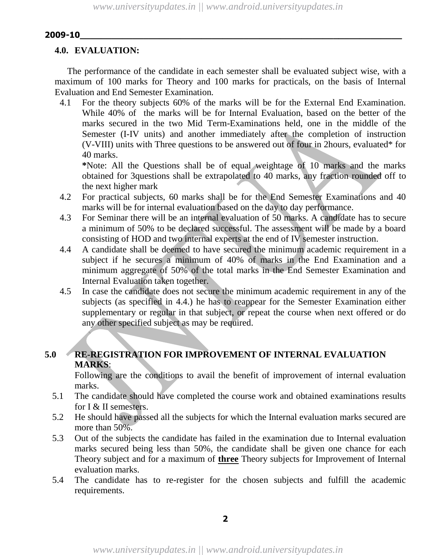# **4.0. EVALUATION:**

The performance of the candidate in each semester shall be evaluated subject wise, with a maximum of 100 marks for Theory and 100 marks for practicals, on the basis of Internal Evaluation and End Semester Examination.

4.1 For the theory subjects 60% of the marks will be for the External End Examination. While 40% of the marks will be for Internal Evaluation, based on the better of the marks secured in the two Mid Term-Examinations held, one in the middle of the Semester (I-IV units) and another immediately after the completion of instruction (V-VIII) units with Three questions to be answered out of four in 2hours, evaluated\* for 40 marks.

**\***Note: All the Questions shall be of equal weightage of 10 marks and the marks obtained for 3questions shall be extrapolated to 40 marks, any fraction rounded off to the next higher mark

- 4.2 For practical subjects, 60 marks shall be for the End Semester Examinations and 40 marks will be for internal evaluation based on the day to day performance.
- 4.3 For Seminar there will be an internal evaluation of 50 marks. A candidate has to secure a minimum of 50% to be declared successful. The assessment will be made by a board consisting of HOD and two internal experts at the end of IV semester instruction.
- 4.4 A candidate shall be deemed to have secured the minimum academic requirement in a subject if he secures a minimum of 40% of marks in the End Examination and a minimum aggregate of 50% of the total marks in the End Semester Examination and Internal Evaluation taken together.
- 4.5 In case the candidate does not secure the minimum academic requirement in any of the subjects (as specified in 4.4.) he has to reappear for the Semester Examination either supplementary or regular in that subject, or repeat the course when next offered or do any other specified subject as may be required.

# **5.0 RE-REGISTRATION FOR IMPROVEMENT OF INTERNAL EVALUATION MARKS**:

Following are the conditions to avail the benefit of improvement of internal evaluation marks.

- 5.1 The candidate should have completed the course work and obtained examinations results for I & II semesters.
- 5.2 He should have passed all the subjects for which the Internal evaluation marks secured are more than 50%.
- 5.3 Out of the subjects the candidate has failed in the examination due to Internal evaluation marks secured being less than 50%, the candidate shall be given one chance for each Theory subject and for a maximum of **three** Theory subjects for Improvement of Internal evaluation marks.
- 5.4 The candidate has to re-register for the chosen subjects and fulfill the academic requirements.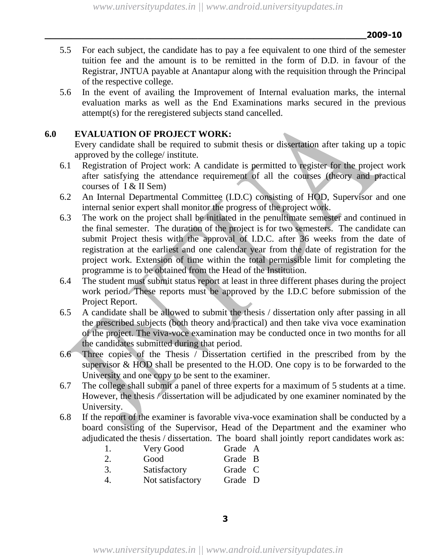*www.universityupdates.in || www.android.universityupdates.in*

**\_\_\_\_\_\_\_\_\_\_\_\_\_\_\_\_\_\_\_\_\_\_\_\_\_\_\_\_\_\_\_\_\_\_\_\_\_\_\_\_\_\_\_\_\_\_\_\_\_\_\_\_\_\_\_\_\_\_\_\_\_2009-10**

- 5.5 For each subject, the candidate has to pay a fee equivalent to one third of the semester tuition fee and the amount is to be remitted in the form of D.D. in favour of the Registrar, JNTUA payable at Anantapur along with the requisition through the Principal of the respective college.
- 5.6 In the event of availing the Improvement of Internal evaluation marks, the internal evaluation marks as well as the End Examinations marks secured in the previous attempt(s) for the reregistered subjects stand cancelled.

# **6.0 EVALUATION OF PROJECT WORK:**

Every candidate shall be required to submit thesis or dissertation after taking up a topic approved by the college/ institute.

- 6.1 Registration of Project work: A candidate is permitted to register for the project work after satisfying the attendance requirement of all the courses (theory and practical courses of I & II Sem)
- 6.2 An Internal Departmental Committee (I.D.C) consisting of HOD, Supervisor and one internal senior expert shall monitor the progress of the project work.
- 6.3 The work on the project shall be initiated in the penultimate semester and continued in the final semester. The duration of the project is for two semesters. The candidate can submit Project thesis with the approval of I.D.C. after 36 weeks from the date of registration at the earliest and one calendar year from the date of registration for the project work. Extension of time within the total permissible limit for completing the programme is to be obtained from the Head of the Institution.
- 6.4 The student must submit status report at least in three different phases during the project work period. These reports must be approved by the I.D.C before submission of the Project Report.
- 6.5 A candidate shall be allowed to submit the thesis / dissertation only after passing in all the prescribed subjects (both theory and practical) and then take viva voce examination of the project. The viva-voce examination may be conducted once in two months for all the candidates submitted during that period.
- 6.6 Three copies of the Thesis / Dissertation certified in the prescribed from by the supervisor & HOD shall be presented to the H.OD. One copy is to be forwarded to the University and one copy to be sent to the examiner.
- 6.7 The college shall submit a panel of three experts for a maximum of 5 students at a time. However, the thesis / dissertation will be adjudicated by one examiner nominated by the University.
- 6.8 If the report of the examiner is favorable viva-voce examination shall be conducted by a board consisting of the Supervisor, Head of the Department and the examiner who adjudicated the thesis / dissertation. The board shall jointly report candidates work as:

| $\mathbf{I}$ . | Very Good        | Grade A |  |
|----------------|------------------|---------|--|
| 2.             | Good             | Grade B |  |
| 3.             | Satisfactory     | Grade C |  |
| 4.             | Not satisfactory | Grade D |  |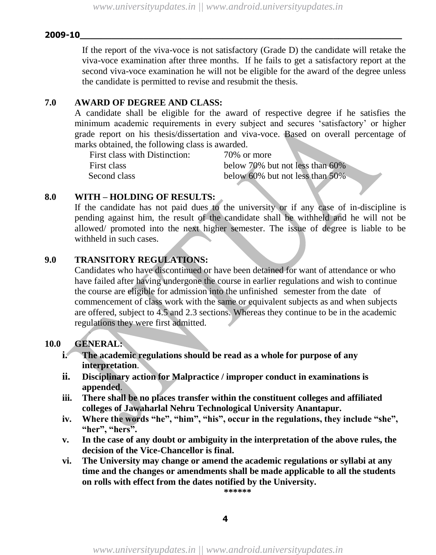If the report of the viva-voce is not satisfactory (Grade D) the candidate will retake the viva-voce examination after three months. If he fails to get a satisfactory report at the second viva-voce examination he will not be eligible for the award of the degree unless the candidate is permitted to revise and resubmit the thesis.

### **7.0 AWARD OF DEGREE AND CLASS:**

A candidate shall be eligible for the award of respective degree if he satisfies the minimum academic requirements in every subject and secures "satisfactory" or higher grade report on his thesis/dissertation and viva-voce. Based on overall percentage of marks obtained, the following class is awarded.

| First class with Distinction: | 70\% or more                          |
|-------------------------------|---------------------------------------|
| First class                   | below 70% but not less than 60%       |
| Second class                  | below $60\%$ but not less than $50\%$ |

#### **8.0 WITH – HOLDING OF RESULTS:**

If the candidate has not paid dues to the university or if any case of in-discipline is pending against him, the result of the candidate shall be withheld and he will not be allowed/ promoted into the next higher semester. The issue of degree is liable to be withheld in such cases.

# **9.0 TRANSITORY REGULATIONS:**

Candidates who have discontinued or have been detained for want of attendance or who have failed after having undergone the course in earlier regulations and wish to continue the course are eligible for admission into the unfinished semester from the date of commencement of class work with the same or equivalent subjects as and when subjects are offered, subject to 4.5 and 2.3 sections. Whereas they continue to be in the academic regulations they were first admitted.

### **10.0 GENERAL:**

- **i. The academic regulations should be read as a whole for purpose of any interpretation**.
- **ii. Disciplinary action for Malpractice / improper conduct in examinations is appended**.
- **iii. There shall be no places transfer within the constituent colleges and affiliated colleges of Jawaharlal Nehru Technological University Anantapur.**
- **iv. Where the words "he", "him", "his", occur in the regulations, they include "she", "her", "hers".**
- **v. In the case of any doubt or ambiguity in the interpretation of the above rules, the decision of the Vice-Chancellor is final.**
- **vi. The University may change or amend the academic regulations or syllabi at any time and the changes or amendments shall be made applicable to all the students on rolls with effect from the dates notified by the University.**

**\*\*\*\*\*\***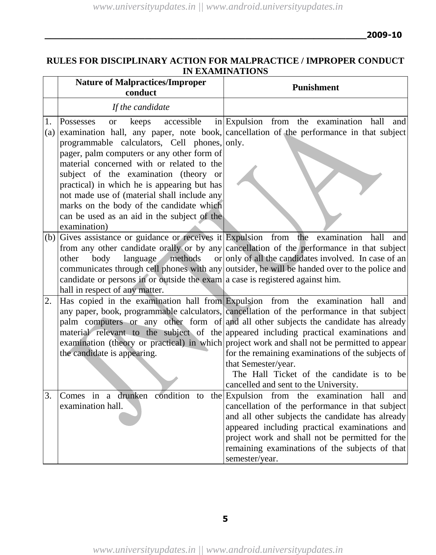# **RULES FOR DISCIPLINARY ACTION FOR MALPRACTICE / IMPROPER CONDUCT IN EXAMINATIONS**

|           | <b>Nature of Malpractices/Improper</b><br>conduct                                                                                                                                                                                                                                                                                                                                                                                          | <b>Punishment</b>                                                                                                                                                                                                                                                                                                                                                                                                                                                                                                                                                                                                                |
|-----------|--------------------------------------------------------------------------------------------------------------------------------------------------------------------------------------------------------------------------------------------------------------------------------------------------------------------------------------------------------------------------------------------------------------------------------------------|----------------------------------------------------------------------------------------------------------------------------------------------------------------------------------------------------------------------------------------------------------------------------------------------------------------------------------------------------------------------------------------------------------------------------------------------------------------------------------------------------------------------------------------------------------------------------------------------------------------------------------|
|           | If the candidate                                                                                                                                                                                                                                                                                                                                                                                                                           |                                                                                                                                                                                                                                                                                                                                                                                                                                                                                                                                                                                                                                  |
| 1.<br>(a) | accessible<br>Possesses<br><b>or</b><br>keeps<br>programmable calculators, Cell phones, only.<br>pager, palm computers or any other form of<br>material concerned with or related to the<br>subject of the examination (theory or<br>practical) in which he is appearing but has<br>not made use of (material shall include any<br>marks on the body of the candidate which<br>can be used as an aid in the subject of the<br>examination) | in Expulsion from the examination hall and<br>examination hall, any paper, note book, cancellation of the performance in that subject                                                                                                                                                                                                                                                                                                                                                                                                                                                                                            |
|           | (b) Gives assistance or guidance or receives it Expulsion from the examination hall<br>methods<br>other<br>body<br>language<br>candidate or persons in or outside the exam $a$ case is registered against him.<br>hall in respect of any matter.                                                                                                                                                                                           | and<br>from any other candidate orally or by any cancellation of the performance in that subject<br>or only of all the candidates involved. In case of an<br>communicates through cell phones with any outsider, he will be handed over to the police and                                                                                                                                                                                                                                                                                                                                                                        |
| 2.        | the candidate is appearing.                                                                                                                                                                                                                                                                                                                                                                                                                | Has copied in the examination hall from Expulsion from the examination hall and<br>any paper, book, programmable calculators, cancellation of the performance in that subject<br>palm computers or any other form of and all other subjects the candidate has already<br>material relevant to the subject of the appeared including practical examinations and<br>examination (theory or practical) in which project work and shall not be permitted to appear<br>for the remaining examinations of the subjects of<br>that Semester/year.<br>The Hall Ticket of the candidate is to be<br>cancelled and sent to the University. |
| 3.        | Comes in a drunken condition to the Expulsion from the examination hall<br>examination hall.                                                                                                                                                                                                                                                                                                                                               | and<br>cancellation of the performance in that subject<br>and all other subjects the candidate has already<br>appeared including practical examinations and<br>project work and shall not be permitted for the<br>remaining examinations of the subjects of that<br>semester/year.                                                                                                                                                                                                                                                                                                                                               |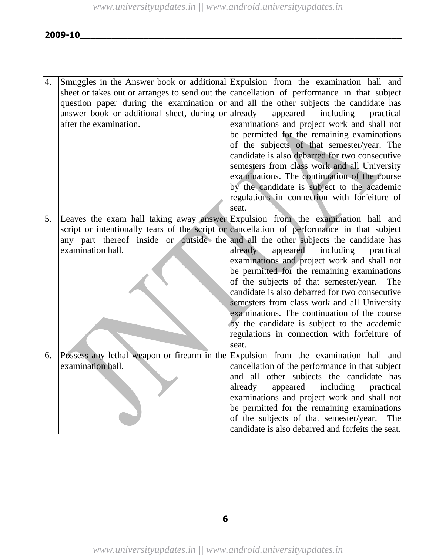| $\overline{4}$ . |                                                    | Smuggles in the Answer book or additional Expulsion from the examination hall and          |
|------------------|----------------------------------------------------|--------------------------------------------------------------------------------------------|
|                  |                                                    | sheet or takes out or arranges to send out the cancellation of performance in that subject |
|                  |                                                    | question paper during the examination or and all the other subjects the candidate has      |
|                  | answer book or additional sheet, during or already | appeared<br>including<br>practical                                                         |
|                  | after the examination.                             | examinations and project work and shall not                                                |
|                  |                                                    | be permitted for the remaining examinations                                                |
|                  |                                                    | of the subjects of that semester/year. The                                                 |
|                  |                                                    | candidate is also debarred for two consecutive                                             |
|                  |                                                    | semesters from class work and all University                                               |
|                  |                                                    | examinations. The continuation of the course                                               |
|                  |                                                    | by the candidate is subject to the academic                                                |
|                  |                                                    | regulations in connection with forfeiture of                                               |
|                  |                                                    | seat.                                                                                      |
| 5.               |                                                    | Leaves the exam hall taking away answer Expulsion from the examination hall and            |
|                  |                                                    | script or intentionally tears of the script or cancellation of performance in that subject |
|                  |                                                    | any part thereof inside or outside the and all the other subjects the candidate has        |
|                  | examination hall.                                  | already<br>appeared<br>including<br>practical                                              |
|                  |                                                    | examinations and project work and shall not                                                |
|                  |                                                    | be permitted for the remaining examinations                                                |
|                  |                                                    | of the subjects of that semester/year.<br>The                                              |
|                  |                                                    | candidate is also debarred for two consecutive                                             |
|                  |                                                    | semesters from class work and all University                                               |
|                  |                                                    | examinations. The continuation of the course                                               |
|                  |                                                    | by the candidate is subject to the academic                                                |
|                  |                                                    | regulations in connection with forfeiture of                                               |
|                  |                                                    | seat.                                                                                      |
| 6.               | Possess any lethal weapon or firearm in the        | Expulsion from the examination hall and                                                    |
|                  | examination hall.                                  | cancellation of the performance in that subject                                            |
|                  |                                                    | and all other subjects the candidate has                                                   |
|                  |                                                    | already<br>appeared including<br>practical                                                 |
|                  |                                                    | examinations and project work and shall not                                                |
|                  |                                                    | be permitted for the remaining examinations                                                |
|                  |                                                    | of the subjects of that semester/year.<br>The                                              |
|                  |                                                    | candidate is also debarred and forfeits the seat.                                          |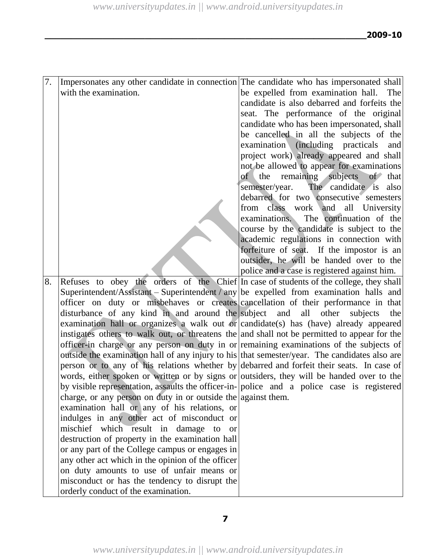| 7. | Impersonates any other candidate in connection The candidate who has impersonated shall       |                                                         |
|----|-----------------------------------------------------------------------------------------------|---------------------------------------------------------|
|    | with the examination.                                                                         | be expelled from examination hall.<br><b>The</b>        |
|    |                                                                                               | candidate is also debarred and forfeits the             |
|    |                                                                                               | seat. The performance of the original                   |
|    |                                                                                               | candidate who has been impersonated, shall              |
|    |                                                                                               | be cancelled in all the subjects of the                 |
|    |                                                                                               | examination<br>(including practicals)<br>and            |
|    |                                                                                               | project work) already appeared and shall                |
|    |                                                                                               | not be allowed to appear for examinations               |
|    |                                                                                               | of <sub>1</sub><br>remaining subjects<br>the<br>of that |
|    |                                                                                               | semester/year. The candidate is also                    |
|    |                                                                                               | debarred for two consecutive semesters                  |
|    |                                                                                               | from class work and<br>all University                   |
|    |                                                                                               | examinations.<br>The continuation of the                |
|    |                                                                                               | course by the candidate is subject to the               |
|    |                                                                                               | academic regulations in connection with                 |
|    |                                                                                               | forfeiture of seat. If the impostor is an               |
|    |                                                                                               | outsider, he will be handed over to the                 |
|    |                                                                                               | police and a case is registered against him.            |
| 8. | Refuses to obey the orders of the Chief In case of students of the college, they shall        |                                                         |
|    | Superintendent/Assistant – Superintendent / any be expelled from examination halls and        |                                                         |
|    | officer on duty or misbehaves or creates cancellation of their performance in that            |                                                         |
|    | disturbance of any kind in and around the subject and                                         | all other<br>subjects<br>the                            |
|    | examination hall or organizes a walk out or candidate(s) has (have) already appeared          |                                                         |
|    | instigates others to walk out, or threatens the and shall not be permitted to appear for the  |                                                         |
|    | officer-in charge or any person on duty in or remaining examinations of the subjects of       |                                                         |
|    | outside the examination hall of any injury to his that semester/year. The candidates also are |                                                         |
|    | person or to any of his relations whether by debarred and forfeit their seats. In case of     |                                                         |
|    | words, either spoken or written or by signs or outsiders, they will be handed over to the     |                                                         |
|    | by visible representation, assaults the officer-in- police and a police case is registered    |                                                         |
|    | charge, or any person on duty in or outside the against them.                                 |                                                         |
|    | examination hall or any of his relations, or                                                  |                                                         |
|    | indulges in any other act of misconduct or                                                    |                                                         |
|    | mischief which result in damage to<br><b>or</b>                                               |                                                         |
|    | destruction of property in the examination hall                                               |                                                         |
|    | or any part of the College campus or engages in                                               |                                                         |
|    | any other act which in the opinion of the officer                                             |                                                         |
|    | on duty amounts to use of unfair means or                                                     |                                                         |
|    | misconduct or has the tendency to disrupt the                                                 |                                                         |
|    | orderly conduct of the examination.                                                           |                                                         |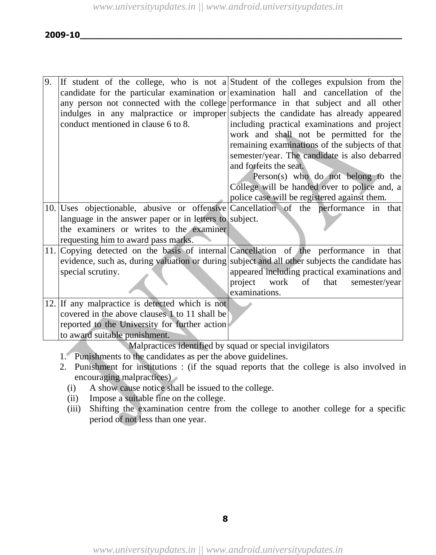| 9. |                                                        | If student of the college, who is not a Student of the colleges expulsion from the             |
|----|--------------------------------------------------------|------------------------------------------------------------------------------------------------|
|    |                                                        | candidate for the particular examination or examination hall and cancellation of the           |
|    |                                                        | any person not connected with the college performance in that subject and all other            |
|    |                                                        | indulges in any malpractice or improper subjects the candidate has already appeared            |
|    | conduct mentioned in clause 6 to 8.                    | including practical examinations and project                                                   |
|    |                                                        | work and shall not be permitted for the                                                        |
|    |                                                        | remaining examinations of the subjects of that                                                 |
|    |                                                        | semester/year. The candidate is also debarred                                                  |
|    |                                                        | and forfeits the seat.                                                                         |
|    |                                                        | Person(s) who do not belong to the                                                             |
|    |                                                        | College will be handed over to police and, a                                                   |
|    |                                                        | police case will be registered against them.                                                   |
|    |                                                        |                                                                                                |
|    |                                                        | 10. Uses objectionable, abusive or offensive Cancellation of the performance in that           |
|    | language in the answer paper or in letters to subject. |                                                                                                |
|    | the examiners or writes to the examiner                |                                                                                                |
|    | requesting him to award pass marks.                    |                                                                                                |
|    |                                                        | 11. Copying detected on the basis of internal Cancellation of the performance in that          |
|    |                                                        | evidence, such as, during valuation or during subject and all other subjects the candidate has |
|    | special scrutiny.                                      | appeared including practical examinations and                                                  |
|    |                                                        | project work of<br>that<br>semester/year                                                       |
|    |                                                        | examinations.                                                                                  |
|    | 12. If any malpractice is detected which is not        |                                                                                                |
|    | covered in the above clauses 1 to 11 shall be          |                                                                                                |
|    | reported to the University for further action          |                                                                                                |
|    | to award suitable punishment.                          |                                                                                                |
|    |                                                        | Malpractices identified by squad or special invigilators                                       |

1. Punishments to the candidates as per the above guidelines.

- 2. Punishment for institutions : (if the squad reports that the college is also involved in encouraging malpractices)
	- (i) A show cause notice shall be issued to the college.
	- (ii) Impose a suitable fine on the college.
	- (iii) Shifting the examination centre from the college to another college for a specific period of not less than one year.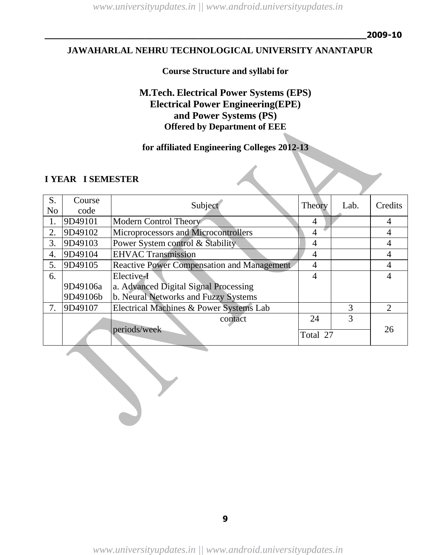*www.universityupdates.in || www.android.universityupdates.in*

### **JAWAHARLAL NEHRU TECHNOLOGICAL UNIVERSITY ANANTAPUR**

# **Course Structure and syllabi for**

# **M.Tech. Electrical Power Systems (EPS) Electrical Power Engineering(EPE) and Power Systems (PS) Offered by Department of EEE**

# **for affiliated Engineering Colleges 2012-13**

#### **I YEAR I SEMESTER**

| S.             | Course   | Subject                                           | Theory   | Lab. | Credits  |
|----------------|----------|---------------------------------------------------|----------|------|----------|
| N <sub>0</sub> | code     |                                                   |          |      |          |
| 1.             | 9D49101  | Modern Control Theory                             | 4        |      | 4        |
| 2.             | 9D49102  | Microprocessors and Microcontrollers              | 4        |      |          |
| 3.             | 9D49103  | Power System control & Stability                  | 4        |      |          |
| 4.             | 9D49104  | <b>EHVAC Transmission</b>                         | 4        |      |          |
| 5.             | 9D49105  | <b>Reactive Power Compensation and Management</b> | 4        |      |          |
| 6.             |          | Elective-I                                        | 4        |      |          |
|                | 9D49106a | a. Advanced Digital Signal Processing             |          |      |          |
|                | 9D49106b | b. Neural Networks and Fuzzy Systems              |          |      |          |
| 7.             | 9D49107  | Electrical Machines & Power Systems Lab           |          | 3    | $\gamma$ |
|                |          | contact                                           | 24       | 3    |          |
|                |          | periods/week                                      | Total 27 |      | 26       |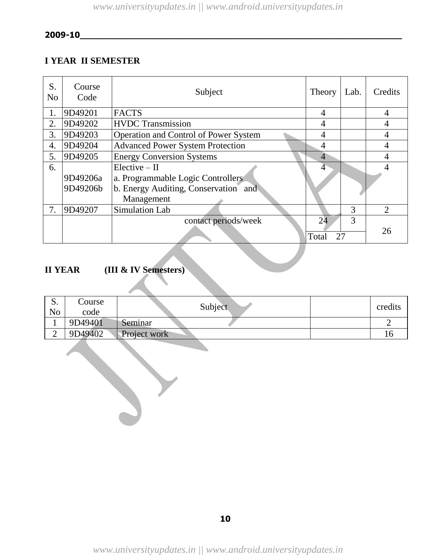# **I YEAR II SEMESTER**

| S.<br>N <sub>0</sub> | Course<br>Code       | Subject                                                                                                    | Theory            | Lab. | <b>Credits</b>              |
|----------------------|----------------------|------------------------------------------------------------------------------------------------------------|-------------------|------|-----------------------------|
| 1.                   | 9D49201              | <b>FACTS</b>                                                                                               | 4                 |      | 4                           |
| 2.                   | 9D49202              | <b>HVDC</b> Transmission                                                                                   | 4                 |      | 4                           |
| 3.                   | 9D49203              | Operation and Control of Power System                                                                      | 4                 |      | 4                           |
| 4.                   | 9D49204              | <b>Advanced Power System Protection</b>                                                                    | 4                 |      | 4                           |
| 5.                   | 9D49205              | <b>Energy Conversion Systems</b>                                                                           | $\overline{4}$    |      | 4                           |
| 6.                   | 9D49206a<br>9D49206b | $Elective - II$<br>a. Programmable Logic Controllers<br>b. Energy Auditing, Conservation and<br>Management |                   |      |                             |
| 7.                   | 9D49207              | Simulation Lab                                                                                             |                   | 3    | $\mathcal{D}_{\mathcal{L}}$ |
|                      |                      | contact periods/week                                                                                       | 24<br>27<br>Total | 3    | 26                          |

# **II YEAR (III & IV Semesters)**

| ນ.<br>No | Course<br>code | Subject             | credits |
|----------|----------------|---------------------|---------|
|          | 9D49401        | Seminar             |         |
| ↩        | 9D49402        | <b>Project work</b> |         |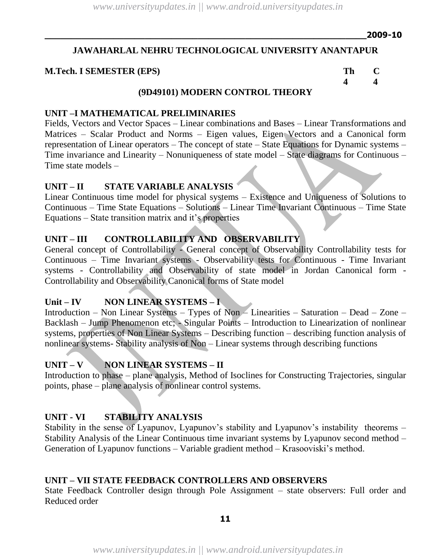# **JAWAHARLAL NEHRU TECHNOLOGICAL UNIVERSITY ANANTAPUR**

### **M.Tech. I SEMESTER (EPS) Th C**

**4 4** 

# **(9D49101) MODERN CONTROL THEORY**

### **UNIT –I MATHEMATICAL PRELIMINARIES**

Fields, Vectors and Vector Spaces – Linear combinations and Bases – Linear Transformations and Matrices – Scalar Product and Norms – Eigen values, Eigen Vectors and a Canonical form representation of Linear operators – The concept of state – State Equations for Dynamic systems – Time invariance and Linearity – Nonuniqueness of state model – State diagrams for Continuous – Time state models –

# **UNIT – II STATE VARIABLE ANALYSIS**

Linear Continuous time model for physical systems – Existence and Uniqueness of Solutions to Continuous – Time State Equations – Solutions – Linear Time Invariant Continuous – Time State Equations  $-$  State transition matrix and it's properties

# **UNIT – III CONTROLLABILITY AND OBSERVABILITY**

General concept of Controllability - General concept of Observability Controllability tests for Continuous – Time Invariant systems - Observability tests for Continuous - Time Invariant systems - Controllability and Observability of state model in Jordan Canonical form - Controllability and Observability Canonical forms of State model

# **Unit – IV NON LINEAR SYSTEMS – I**

Introduction – Non Linear Systems – Types of Non – Linearities – Saturation – Dead – Zone – Backlash – Jump Phenomenon etc; - Singular Points – Introduction to Linearization of nonlinear systems, properties of Non Linear Systems – Describing function – describing function analysis of nonlinear systems- Stability analysis of Non – Linear systems through describing functions

# **UNIT – V NON LINEAR SYSTEMS – II**

Introduction to phase – plane analysis, Method of Isoclines for Constructing Trajectories, singular points, phase – plane analysis of nonlinear control systems.

# **UNIT - VI STABILITY ANALYSIS**

Stability in the sense of Lyapunov, Lyapunov's stability and Lyapunov's instability theorems – Stability Analysis of the Linear Continuous time invariant systems by Lyapunov second method – Generation of Lyapunov functions – Variable gradient method – Krasooviski's method.

# **UNIT – VII STATE FEEDBACK CONTROLLERS AND OBSERVERS**

State Feedback Controller design through Pole Assignment – state observers: Full order and Reduced order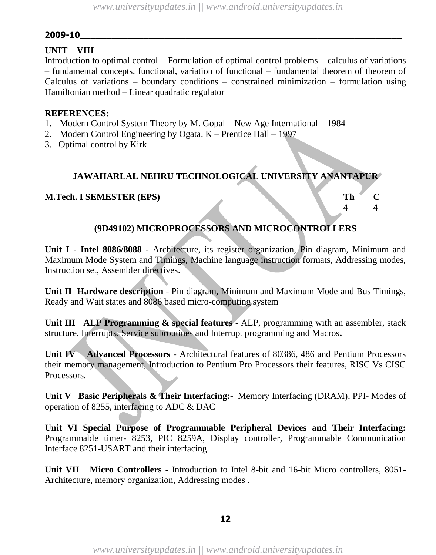### **UNIT – VIII**

Introduction to optimal control – Formulation of optimal control problems – calculus of variations – fundamental concepts, functional, variation of functional – fundamental theorem of theorem of Calculus of variations – boundary conditions – constrained minimization – formulation using Hamiltonian method – Linear quadratic regulator

### **REFERENCES:**

- 1. Modern Control System Theory by M. Gopal New Age International 1984
- 2. Modern Control Engineering by Ogata. K Prentice Hall 1997
- 3. Optimal control by Kirk

# **JAWAHARLAL NEHRU TECHNOLOGICAL UNIVERSITY ANANTAPUR**

### **M.Tech. I SEMESTER (EPS) Th C**

# **(9D49102) MICROPROCESSORS AND MICROCONTROLLERS**

**4 4**

**Unit I - Intel 8086/8088 -** Architecture, its register organization, Pin diagram, Minimum and Maximum Mode System and Timings, Machine language instruction formats, Addressing modes, Instruction set, Assembler directives.

**Unit II Hardware description** - Pin diagram, Minimum and Maximum Mode and Bus Timings, Ready and Wait states and 8086 based micro-computing system

**Unit III ALP Programming & special features** - ALP, programming with an assembler, stack structure, Interrupts, Service subroutines and Interrupt programming and Macros**.**

**Unit IV Advanced Processors** - Architectural features of 80386, 486 and Pentium Processors their memory management, Introduction to Pentium Pro Processors their features, RISC Vs CISC Processors.

**Unit V Basic Peripherals & Their Interfacing:-** Memory Interfacing (DRAM), PPI- Modes of operation of 8255, interfacing to ADC & DAC

**Unit VI Special Purpose of Programmable Peripheral Devices and Their Interfacing:**  Programmable timer- 8253, PIC 8259A, Display controller, Programmable Communication Interface 8251-USART and their interfacing.

**Unit VII Micro Controllers -** Introduction to Intel 8-bit and 16-bit Micro controllers, 8051- Architecture, memory organization, Addressing modes .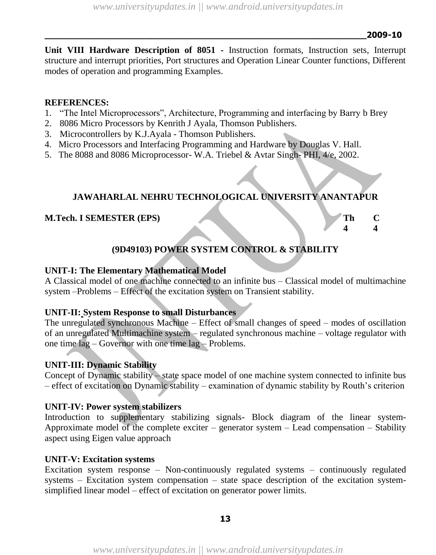**Unit VIII Hardware Description of 8051 -** Instruction formats, Instruction sets, Interrupt structure and interrupt priorities, Port structures and Operation Linear Counter functions, Different modes of operation and programming Examples.

# **REFERENCES:**

- 1. "The Intel Microprocessors", Architecture, Programming and interfacing by Barry b Brey
- 2. 8086 Micro Processors by Kenrith J Ayala, Thomson Publishers.
- 3. Microcontrollers by K.J.Ayala Thomson Publishers.
- 4. Micro Processors and Interfacing Programming and Hardware by Douglas V. Hall.
- 5. The 8088 and 8086 Microprocessor- W.A. Triebel & Avtar Singh- PHI, 4/e, 2002.

# **JAWAHARLAL NEHRU TECHNOLOGICAL UNIVERSITY ANANTAPUR**

# **M.Tech. I SEMESTER (EPS) Th C**

**4 4**

# **(9D49103) POWER SYSTEM CONTROL & STABILITY**

# **UNIT-I: The Elementary Mathematical Model**

A Classical model of one machine connected to an infinite bus – Classical model of multimachine system –Problems – Effect of the excitation system on Transient stability.

# **UNIT-II: System Response to small Disturbances**

The unregulated synchronous Machine – Effect of small changes of speed – modes of oscillation of an unregulated Multimachine system – regulated synchronous machine – voltage regulator with one time lag – Governor with one time lag – Problems.

# **UNIT-III: Dynamic Stability**

Concept of Dynamic stability – state space model of one machine system connected to infinite bus – effect of excitation on Dynamic stability – examination of dynamic stability by Routh"s criterion

# **UNIT-IV: Power system stabilizers**

Introduction to supplementary stabilizing signals- Block diagram of the linear system-Approximate model of the complete exciter – generator system – Lead compensation – Stability aspect using Eigen value approach

# **UNIT-V: Excitation systems**

Excitation system response – Non-continuously regulated systems – continuously regulated systems – Excitation system compensation – state space description of the excitation systemsimplified linear model – effect of excitation on generator power limits.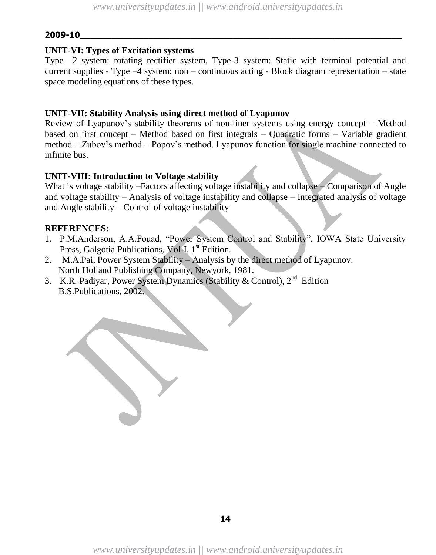### **UNIT-VI: Types of Excitation systems**

Type –2 system: rotating rectifier system, Type-3 system: Static with terminal potential and current supplies - Type –4 system: non – continuous acting - Block diagram representation – state space modeling equations of these types.

### **UNIT-VII: Stability Analysis using direct method of Lyapunov**

Review of Lyapunov"s stability theorems of non-liner systems using energy concept – Method based on first concept – Method based on first integrals – Quadratic forms – Variable gradient method – Zubov"s method – Popov"s method, Lyapunov function for single machine connected to infinite bus.

### **UNIT-VIII: Introduction to Voltage stability**

What is voltage stability –Factors affecting voltage instability and collapse – Comparison of Angle and voltage stability – Analysis of voltage instability and collapse – Integrated analysis of voltage and Angle stability – Control of voltage instability

### **REFERENCES:**

- 1. P.M.Anderson, A.A.Fouad, "Power System Control and Stability", IOWA State University Press, Galgotia Publications, Vol-I, 1<sup>st</sup> Edition.
- 2. M.A.Pai, Power System Stability Analysis by the direct method of Lyapunov. North Holland Publishing Company, Newyork, 1981.
- 3. K.R. Padiyar, Power System Dynamics (Stability & Control),  $2<sup>nd</sup>$  Edition B.S.Publications, 2002.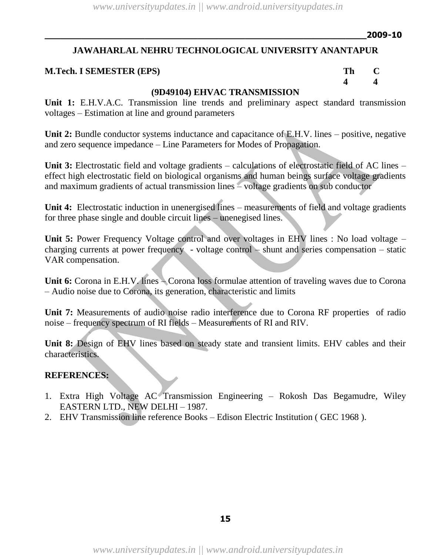**4 4**

# **JAWAHARLAL NEHRU TECHNOLOGICAL UNIVERSITY ANANTAPUR**

# **M.Tech. I SEMESTER (EPS) Th C**

# **(9D49104) EHVAC TRANSMISSION**

**Unit 1:** E.H.V.A.C. Transmission line trends and preliminary aspect standard transmission voltages – Estimation at line and ground parameters

**Unit 2:** Bundle conductor systems inductance and capacitance of E.H.V. lines – positive, negative and zero sequence impedance – Line Parameters for Modes of Propagation.

**Unit 3:** Electrostatic field and voltage gradients – calculations of electrostatic field of AC lines – effect high electrostatic field on biological organisms and human beings surface voltage gradients and maximum gradients of actual transmission lines – voltage gradients on sub conductor

**Unit 4:** Electrostatic induction in unenergised lines – measurements of field and voltage gradients for three phase single and double circuit lines – unenegised lines.

**Unit 5:** Power Frequency Voltage control and over voltages in EHV lines : No load voltage – charging currents at power frequency - voltage control – shunt and series compensation – static VAR compensation.

Unit 6: Corona in E.H.V. lines – Corona loss formulae attention of traveling waves due to Corona – Audio noise due to Corona, its generation, characteristic and limits

**Unit 7:** Measurements of audio noise radio interference due to Corona RF properties of radio noise – frequency spectrum of RI fields – Measurements of RI and RIV.

**Unit 8:** Design of EHV lines based on steady state and transient limits. EHV cables and their characteristics.

# **REFERENCES:**

- 1. Extra High Voltage AC Transmission Engineering Rokosh Das Begamudre, Wiley EASTERN LTD., NEW DELHI – 1987.
- 2. EHV Transmission line reference Books Edison Electric Institution ( GEC 1968 ).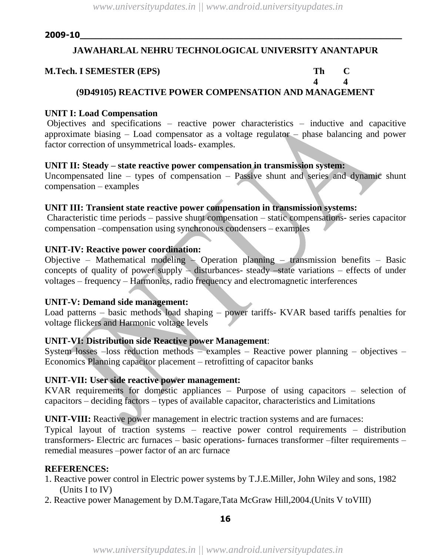# **JAWAHARLAL NEHRU TECHNOLOGICAL UNIVERSITY ANANTAPUR**

#### **M.Tech. I SEMESTER (EPS) Th C**

# **4 4 (9D49105) REACTIVE POWER COMPENSATION AND MANAGEMENT**

### **UNIT I: Load Compensation**

Objectives and specifications – reactive power characteristics – inductive and capacitive approximate biasing – Load compensator as a voltage regulator – phase balancing and power factor correction of unsymmetrical loads- examples.

### **UNIT II: Steady – state reactive power compensation in transmission system:**

Uncompensated line – types of compensation – Passive shunt and series and dynamic shunt compensation – examples

# **UNIT III: Transient state reactive power compensation in transmission systems:**

Characteristic time periods – passive shunt compensation – static compensations- series capacitor compensation –compensation using synchronous condensers – examples

### **UNIT-IV: Reactive power coordination:**

Objective – Mathematical modeling – Operation planning – transmission benefits – Basic concepts of quality of power supply – disturbances- steady –state variations – effects of under voltages – frequency – Harmonics, radio frequency and electromagnetic interferences

# **UNIT-V: Demand side management:**

Load patterns – basic methods load shaping – power tariffs- KVAR based tariffs penalties for voltage flickers and Harmonic voltage levels

### **UNIT-VI: Distribution side Reactive power Management**:

System losses –loss reduction methods – examples – Reactive power planning – objectives – Economics Planning capacitor placement – retrofitting of capacitor banks

# **UNIT-VII: User side reactive power management:**

KVAR requirements for domestic appliances – Purpose of using capacitors – selection of capacitors – deciding factors – types of available capacitor, characteristics and Limitations

**UNIT-VIII:** Reactive power management in electric traction systems and are furnaces:

Typical layout of traction systems – reactive power control requirements – distribution transformers- Electric arc furnaces – basic operations- furnaces transformer –filter requirements – remedial measures –power factor of an arc furnace

# **REFERENCES:**

1. Reactive power control in Electric power systems by T.J.E.Miller, John Wiley and sons, 1982 (Units I to IV)

2. Reactive power Management by D.M.Tagare,Tata McGraw Hill,2004.(Units V toVIII)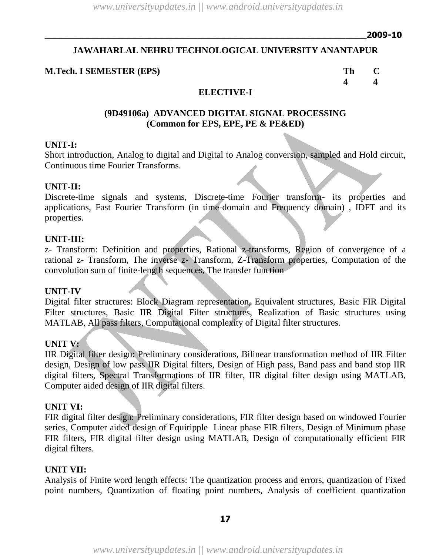# **JAWAHARLAL NEHRU TECHNOLOGICAL UNIVERSITY ANANTAPUR**

### **M.Tech. I SEMESTER (EPS) Th C**

**4 4**

# **ELECTIVE-I**

### **(9D49106a) ADVANCED DIGITAL SIGNAL PROCESSING (Common for EPS, EPE, PE & PE&ED)**

#### **UNIT-I:**

Short introduction, Analog to digital and Digital to Analog conversion, sampled and Hold circuit, Continuous time Fourier Transforms.

### **UNIT-II:**

Discrete-time signals and systems, Discrete-time Fourier transform- its properties and applications, Fast Fourier Transform (in time-domain and Frequency domain) , IDFT and its properties.

#### **UNIT-III:**

z- Transform: Definition and properties, Rational z-transforms, Region of convergence of a rational z- Transform, The inverse z- Transform, Z-Transform properties, Computation of the convolution sum of finite-length sequences, The transfer function

### **UNIT-IV**

Digital filter structures: Block Diagram representation, Equivalent structures, Basic FIR Digital Filter structures, Basic IIR Digital Filter structures, Realization of Basic structures using MATLAB, All pass filters, Computational complexity of Digital filter structures.

### **UNIT V:**

IIR Digital filter design: Preliminary considerations, Bilinear transformation method of IIR Filter design, Design of low pass IIR Digital filters, Design of High pass, Band pass and band stop IIR digital filters, Spectral Transformations of IIR filter, IIR digital filter design using MATLAB, Computer aided design of IIR digital filters.

#### **UNIT VI:**

FIR digital filter design: Preliminary considerations, FIR filter design based on windowed Fourier series, Computer aided design of Equiripple Linear phase FIR filters, Design of Minimum phase FIR filters, FIR digital filter design using MATLAB, Design of computationally efficient FIR digital filters.

#### **UNIT VII:**

Analysis of Finite word length effects: The quantization process and errors, quantization of Fixed point numbers, Quantization of floating point numbers, Analysis of coefficient quantization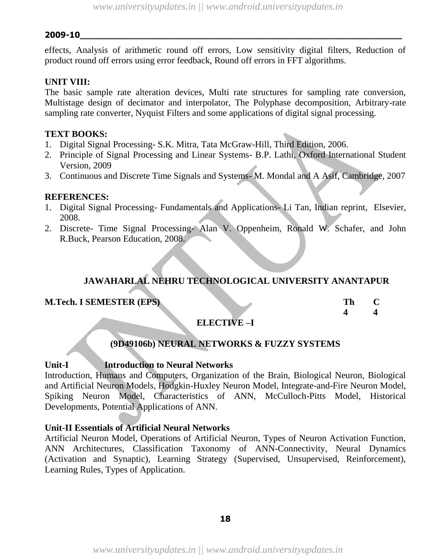effects, Analysis of arithmetic round off errors, Low sensitivity digital filters, Reduction of product round off errors using error feedback, Round off errors in FFT algorithms.

# **UNIT VIII:**

The basic sample rate alteration devices, Multi rate structures for sampling rate conversion, Multistage design of decimator and interpolator, The Polyphase decomposition, Arbitrary-rate sampling rate converter, Nyquist Filters and some applications of digital signal processing.

### **TEXT BOOKS:**

- 1. Digital Signal Processing- S.K. Mitra, Tata McGraw-Hill, Third Edition, 2006.
- 2. Principle of Signal Processing and Linear Systems- B.P. Lathi, Oxford International Student Version, 2009
- 3. Continuous and Discrete Time Signals and Systems- M. Mondal and A Asif, Cambridge, 2007

### **REFERENCES:**

- 1. Digital Signal Processing- Fundamentals and Applications- Li Tan, Indian reprint, Elsevier, 2008.
- 2. Discrete- Time Signal Processing- Alan V. Oppenheim, Ronald W. Schafer, and John R.Buck, Pearson Education, 2008.

# **JAWAHARLAL NEHRU TECHNOLOGICAL UNIVERSITY ANANTAPUR**

### **M.Tech. I SEMESTER (EPS)**

| Th | $\blacksquare$ |
|----|----------------|
| Δ  | 4              |

### **ELECTIVE –I**

### **(9D49106b) NEURAL NETWORKS & FUZZY SYSTEMS**

### **Unit-I Introduction to Neural Networks**

Introduction, Humans and Computers, Organization of the Brain, Biological Neuron, Biological and Artificial Neuron Models, Hodgkin-Huxley Neuron Model, Integrate-and-Fire Neuron Model, Spiking Neuron Model, Characteristics of ANN, McCulloch-Pitts Model, Historical Developments, Potential Applications of ANN.

# **Unit-II Essentials of Artificial Neural Networks**

Artificial Neuron Model, Operations of Artificial Neuron, Types of Neuron Activation Function, ANN Architectures, Classification Taxonomy of ANN-Connectivity, Neural Dynamics (Activation and Synaptic), Learning Strategy (Supervised, Unsupervised, Reinforcement), Learning Rules, Types of Application.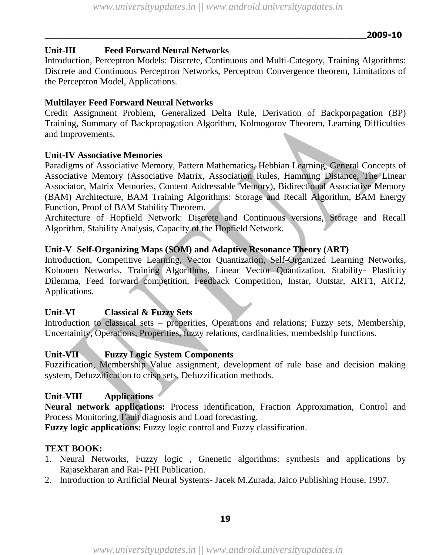# **Unit-III Feed Forward Neural Networks**

Introduction, Perceptron Models: Discrete, Continuous and Multi-Category, Training Algorithms: Discrete and Continuous Perceptron Networks, Perceptron Convergence theorem, Limitations of the Perceptron Model, Applications.

# **Multilayer Feed Forward Neural Networks**

Credit Assignment Problem, Generalized Delta Rule, Derivation of Backporpagation (BP) Training, Summary of Backpropagation Algorithm, Kolmogorov Theorem, Learning Difficulties and Improvements.

# **Unit-IV Associative Memories**

Paradigms of Associative Memory, Pattern Mathematics, Hebbian Learning, General Concepts of Associative Memory (Associative Matrix, Association Rules, Hamming Distance, The Linear Associator, Matrix Memories, Content Addressable Memory), Bidirectional Associative Memory (BAM) Architecture, BAM Training Algorithms: Storage and Recall Algorithm, BAM Energy Function, Proof of BAM Stability Theorem.

Architecture of Hopfield Network: Discrete and Continuous versions, Storage and Recall Algorithm, Stability Analysis, Capacity of the Hopfield Network.

# **Unit-V Self-Organizing Maps (SOM) and Adaptive Resonance Theory (ART)**

Introduction, Competitive Learning, Vector Quantization, Self-Organized Learning Networks, Kohonen Networks, Training Algorithms, Linear Vector Quantization, Stability- Plasticity Dilemma, Feed forward competition, Feedback Competition, Instar, Outstar, ART1, ART2, Applications.

# **Unit-VI Classical & Fuzzy Sets**

Introduction to classical sets – properities, Operations and relations; Fuzzy sets, Membership, Uncertainity, Operations, Properities, fuzzy relations, cardinalities, membedship functions.

# **Unit-VII Fuzzy Logic System Components**

Fuzzification, Membership Value assignment, development of rule base and decision making system, Defuzzification to crisp sets, Defuzzification methods.

# **Unit-VIII Applications**

**Neural network applications:** Process identification, Fraction Approximation, Control and Process Monitoring, Fault diagnosis and Load forecasting.

**Fuzzy logic applications:** Fuzzy logic control and Fuzzy classification.

# **TEXT BOOK:**

- 1. Neural Networks, Fuzzy logic , Gnenetic algorithms: synthesis and applications by Rajasekharan and Rai- PHI Publication.
- 2. Introduction to Artificial Neural Systems- Jacek M.Zurada, Jaico Publishing House, 1997.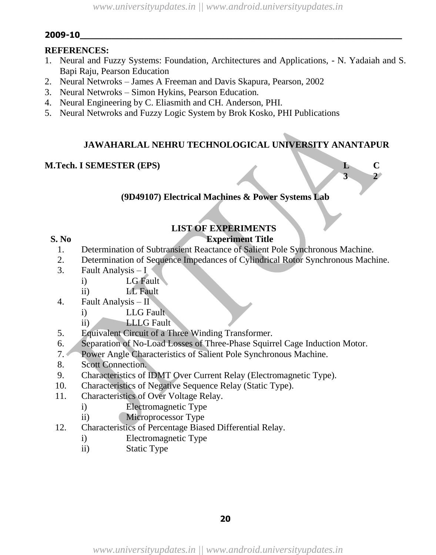# **REFERENCES:**

- 1. Neural and Fuzzy Systems: Foundation, Architectures and Applications, N. Yadaiah and S. Bapi Raju, Pearson Education
- 2. Neural Netwroks James A Freeman and Davis Skapura, Pearson, 2002
- 3. Neural Netwroks Simon Hykins, Pearson Education.
- 4. Neural Engineering by C. Eliasmith and CH. Anderson, PHI.
- 5. Neural Netwroks and Fuzzy Logic System by Brok Kosko, PHI Publications

# **JAWAHARLAL NEHRU TECHNOLOGICAL UNIVERSITY ANANTAPUR**

**3 2**

# **M.Tech. I SEMESTER (EPS) L C**

# **(9D49107) Electrical Machines & Power Systems Lab**

# **LIST OF EXPERIMENTS**

# **S. No Experiment Title**

- 1. Determination of Subtransient Reactance of Salient Pole Synchronous Machine.
- 2. Determination of Sequence Impedances of Cylindrical Rotor Synchronous Machine.
- 3. Fault Analysis I
	- i) LG Fault
	- ii) LL Fault
- 4. Fault Analysis II
	- i) LLG Fault
	- ii) LLLG Fault
- 5. Equivalent Circuit of a Three Winding Transformer.
- 6. Separation of No-Load Losses of Three-Phase Squirrel Cage Induction Motor.
- 7. Power Angle Characteristics of Salient Pole Synchronous Machine.
- 8. Scott Connection.
- 9. Characteristics of IDMT Over Current Relay (Electromagnetic Type).
- 10. Characteristics of Negative Sequence Relay (Static Type).
- 11. Characteristics of Over Voltage Relay.
	- i) Electromagnetic Type
	- ii) Microprocessor Type
- 12. Characteristics of Percentage Biased Differential Relay.
	- i) Electromagnetic Type
	- ii) Static Type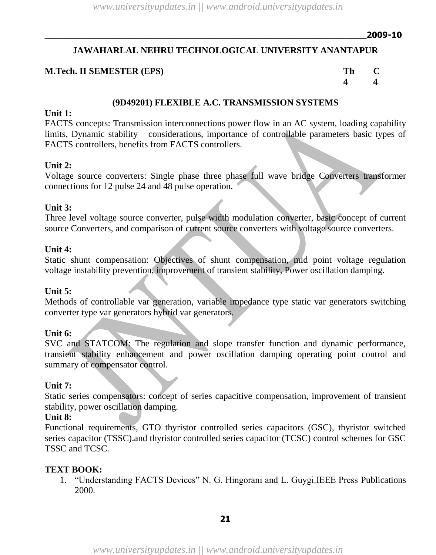# **JAWAHARLAL NEHRU TECHNOLOGICAL UNIVERSITY ANANTAPUR**

### **M.Tech. II SEMESTER (EPS) Th C**

**4 4**

### **(9D49201) FLEXIBLE A.C. TRANSMISSION SYSTEMS**

### **Unit 1:**

FACTS concepts: Transmission interconnections power flow in an AC system, loading capability limits, Dynamic stability considerations, importance of controllable parameters basic types of FACTS controllers, benefits from FACTS controllers.

### **Unit 2:**

Voltage source converters: Single phase three phase full wave bridge Converters transformer connections for 12 pulse 24 and 48 pulse operation.

#### **Unit 3:**

Three level voltage source converter, pulse width modulation converter, basic concept of current source Converters, and comparison of current source converters with voltage source converters.

#### **Unit 4:**

Static shunt compensation: Objectives of shunt compensation, mid point voltage regulation voltage instability prevention, improvement of transient stability, Power oscillation damping.

### **Unit 5:**

Methods of controllable var generation, variable impedance type static var generators switching converter type var generators hybrid var generators.

### **Unit 6:**

SVC and STATCOM: The regulation and slope transfer function and dynamic performance, transient stability enhancement and power oscillation damping operating point control and summary of compensator control.

#### **Unit 7:**

Static series compensators: concept of series capacitive compensation, improvement of transient stability, power oscillation damping.

### **Unit 8:**

Functional requirements, GTO thyristor controlled series capacitors (GSC), thyristor switched series capacitor (TSSC).and thyristor controlled series capacitor (TCSC) control schemes for GSC TSSC and TCSC.

### **TEXT BOOK:**

1. "Understanding FACTS Devices" N. G. Hingorani and L. Guygi.IEEE Press Publications 2000.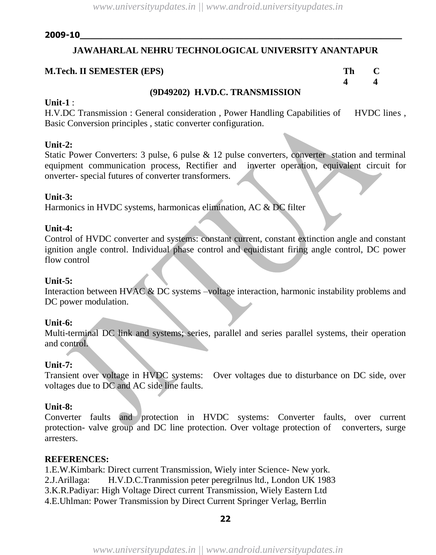# **JAWAHARLAL NEHRU TECHNOLOGICAL UNIVERSITY ANANTAPUR**

### **M.Tech. II SEMESTER (EPS) Th C**

# **4 4**

### **(9D49202) H.VD.C. TRANSMISSION**

### **Unit-1** :

H.V.DC Transmission : General consideration, Power Handling Capabilities of HVDC lines, Basic Conversion principles , static converter configuration.

### **Unit-2:**

Static Power Converters: 3 pulse, 6 pulse & 12 pulse converters, converter station and terminal equipment communication process, Rectifier and inverter operation, equivalent circuit for onverter- special futures of converter transformers.

### **Unit-3:**

Harmonics in HVDC systems, harmonicas elimination, AC & DC filter

### **Unit-4:**

Control of HVDC converter and systems: constant current, constant extinction angle and constant ignition angle control. Individual phase control and equidistant firing angle control, DC power flow control

#### **Unit-5:**

Interaction between HVAC & DC systems –voltage interaction, harmonic instability problems and DC power modulation.

### **Unit-6:**

Multi-terminal DC link and systems; series, parallel and series parallel systems, their operation and control.

### **Unit-7:**

Transient over voltage in HVDC systems: Over voltages due to disturbance on DC side, over voltages due to DC and AC side line faults.

### **Unit-8:**

Converter faults and protection in HVDC systems: Converter faults, over current protection- valve group and DC line protection. Over voltage protection of converters, surge arresters.

### **REFERENCES:**

1.E.W.Kimbark: Direct current Transmission, Wiely inter Science- New york. 2.J.Arillaga: H.V.D.C.Tranmission peter peregrilnus ltd., London UK 1983 3.K.R.Padiyar: High Voltage Direct current Transmission, Wiely Eastern Ltd 4.E.Uhlman: Power Transmission by Direct Current Springer Verlag, Berrlin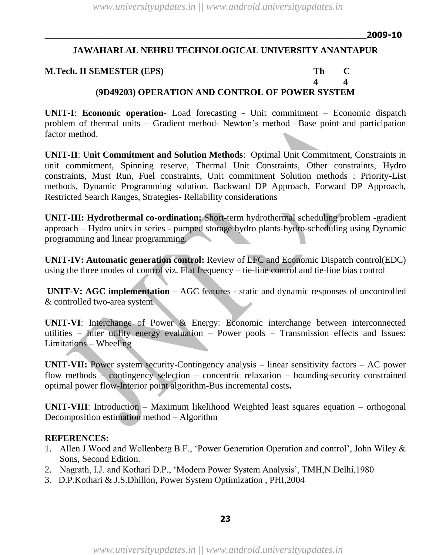**4 4**

# **JAWAHARLAL NEHRU TECHNOLOGICAL UNIVERSITY ANANTAPUR**

### **M.Tech. II SEMESTER (EPS) Th C**

# **(9D49203) OPERATION AND CONTROL OF POWER SYSTEM**

**UNIT-I**: **Economic operation**- Load forecasting - Unit commitment – Economic dispatch problem of thermal units – Gradient method- Newton"s method –Base point and participation factor method.

**UNIT-II**: **Unit Commitment and Solution Methods**: Optimal Unit Commitment, Constraints in unit commitment, Spinning reserve, Thermal Unit Constraints, Other constraints, Hydro constraints, Must Run, Fuel constraints, Unit commitment Solution methods : Priority-List methods, Dynamic Programming solution. Backward DP Approach, Forward DP Approach, Restricted Search Ranges, Strategies- Reliability considerations

**UNIT-III: Hydrothermal co-ordination:** Short-term hydrothermal scheduling problem -gradient approach – Hydro units in series - pumped storage hydro plants-hydro-scheduling using Dynamic programming and linear programming.

**UNIT-IV: Automatic generation control:** Review of LFC and Economic Dispatch control(EDC) using the three modes of control viz. Flat frequency – tie-line control and tie-line bias control

**UNIT-V: AGC implementation –** AGC features - static and dynamic responses of uncontrolled & controlled two-area system.

**UNIT-VI**: Interchange of Power & Energy: Economic interchange between interconnected utilities – Inter utility energy evaluation – Power pools – Transmission effects and Issues: Limitations – Wheeling

**UNIT-VII:** Power system security-Contingency analysis – linear sensitivity factors – AC power flow methods – contingency selection – concentric relaxation – bounding-security constrained optimal power flow-Interior point algorithm-Bus incremental costs**.**

**UNIT-VIII**: Introduction – Maximum likelihood Weighted least squares equation – orthogonal Decomposition estimation method – Algorithm

### **REFERENCES:**

- 1. Allen J.Wood and Wollenberg B.F., "Power Generation Operation and control", John Wiley & Sons, Second Edition.
- 2. Nagrath, I.J. and Kothari D.P., "Modern Power System Analysis", TMH,N.Delhi,1980
- 3. D.P.Kothari & J.S.Dhillon, Power System Optimization , PHI,2004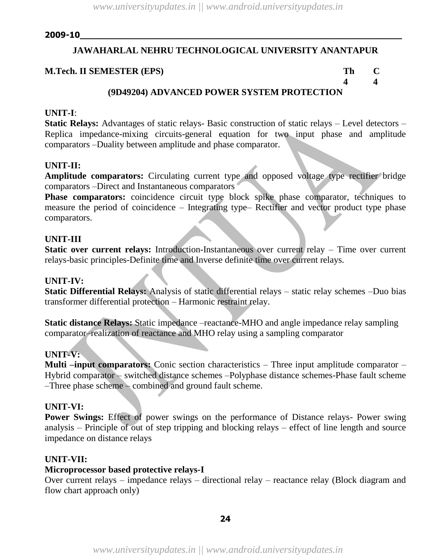# **JAWAHARLAL NEHRU TECHNOLOGICAL UNIVERSITY ANANTAPUR**

### **M.Tech. II SEMESTER (EPS) Th C**

**4 4**

# **(9D49204) ADVANCED POWER SYSTEM PROTECTION**

### **UNIT-I**:

**Static Relays:** Advantages of static relays- Basic construction of static relays – Level detectors – Replica impedance-mixing circuits-general equation for two input phase and amplitude comparators –Duality between amplitude and phase comparator.

### **UNIT-II:**

**Amplitude comparators:** Circulating current type and opposed voltage type rectifier bridge comparators –Direct and Instantaneous comparators

**Phase comparators:** coincidence circuit type block spike phase comparator, techniques to measure the period of coincidence – Integrating type– Rectifier and vector product type phase comparators.

### **UNIT-III**

**Static over current relays:** Introduction-Instantaneous over current relay – Time over current relays-basic principles-Definite time and Inverse definite time over current relays.

### **UNIT-IV:**

**Static Differential Relays:** Analysis of static differential relays – static relay schemes –Duo bias transformer differential protection – Harmonic restraint relay.

**Static distance Relays:** Static impedance –reactance-MHO and angle impedance relay sampling comparator–realization of reactance and MHO relay using a sampling comparator

# **UNIT-V:**

**Multi –input comparators:** Conic section characteristics – Three input amplitude comparator – Hybrid comparator – switched distance schemes –Polyphase distance schemes-Phase fault scheme –Three phase scheme – combined and ground fault scheme.

# **UNIT-VI:**

**Power Swings:** Effect of power swings on the performance of Distance relays- Power swing analysis – Principle of out of step tripping and blocking relays – effect of line length and source impedance on distance relays

# **UNIT-VII:**

### **Microprocessor based protective relays-I**

Over current relays – impedance relays – directional relay – reactance relay (Block diagram and flow chart approach only)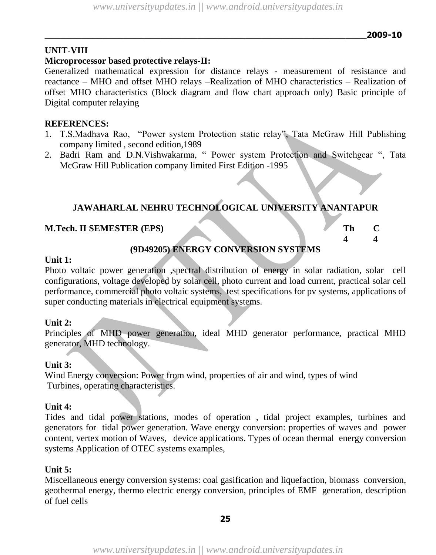# **UNIT-VIII**

# **Microprocessor based protective relays-II:**

Generalized mathematical expression for distance relays - measurement of resistance and reactance – MHO and offset MHO relays –Realization of MHO characteristics – Realization of offset MHO characteristics (Block diagram and flow chart approach only) Basic principle of Digital computer relaying

# **REFERENCES:**

- 1. T.S.Madhava Rao, "Power system Protection static relay", Tata McGraw Hill Publishing company limited , second edition,1989
- 2. Badri Ram and D.N.Vishwakarma, " Power system Protection and Switchgear ", Tata McGraw Hill Publication company limited First Edition -1995

# **JAWAHARLAL NEHRU TECHNOLOGICAL UNIVERSITY ANANTAPUR**

# **M.Tech. II SEMESTER (EPS)**

|  | <b>EVIDOLLARE CONTINUES CLOSE CLIPPS FO</b> |  |  |
|--|---------------------------------------------|--|--|

# **(9D49205) ENERGY CONVERSION SYSTEMS**

### **Unit 1:**

Photo voltaic power generation ,spectral distribution of energy in solar radiation, solar cell configurations, voltage developed by solar cell, photo current and load current, practical solar cell performance, commercial photo voltaic systems, test specifications for pv systems, applications of super conducting materials in electrical equipment systems.

# **Unit 2:**

Principles of MHD power generation, ideal MHD generator performance, practical MHD generator, MHD technology.

# **Unit 3:**

Wind Energy conversion: Power from wind, properties of air and wind, types of wind Turbines, operating characteristics.

# **Unit 4:**

Tides and tidal power stations, modes of operation , tidal project examples, turbines and generators for tidal power generation. Wave energy conversion: properties of waves and power content, vertex motion of Waves, device applications. Types of ocean thermal energy conversion systems Application of OTEC systems examples,

# **Unit 5:**

Miscellaneous energy conversion systems: coal gasification and liquefaction, biomass conversion, geothermal energy, thermo electric energy conversion, principles of EMF generation, description of fuel cells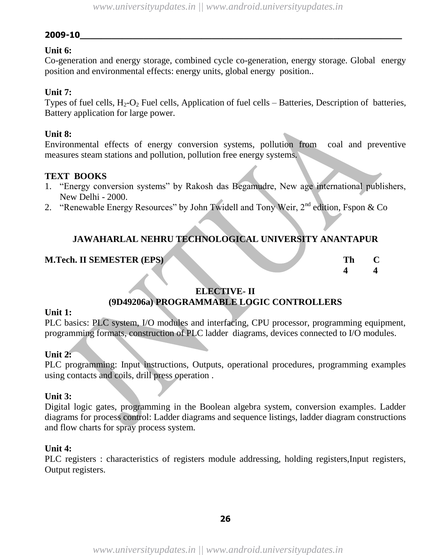# **Unit 6:**

Co-generation and energy storage, combined cycle co-generation, energy storage. Global energy position and environmental effects: energy units, global energy position..

# **Unit 7:**

Types of fuel cells,  $H_2-O_2$  Fuel cells, Application of fuel cells – Batteries, Description of batteries, Battery application for large power.

# **Unit 8:**

Environmental effects of energy conversion systems, pollution from coal and preventive measures steam stations and pollution, pollution free energy systems.

# **TEXT BOOKS**

- 1. "Energy conversion systems" by Rakosh das Begamudre, New age international publishers, New Delhi - 2000.
- 2. "Renewable Energy Resources" by John Twidell and Tony Weir,  $2^{nd}$  edition, Fspon & Co

# **JAWAHARLAL NEHRU TECHNOLOGICAL UNIVERSITY ANANTAPUR**

# **M.Tech. II SEMESTER (EPS) The C**

**4 4**

# **ELECTIVE- II (9D49206a) PROGRAMMABLE LOGIC CONTROLLERS**

### **Unit 1:**

PLC basics: PLC system, I/O modules and interfacing, CPU processor, programming equipment, programming formats, construction of PLC ladder diagrams, devices connected to I/O modules.

# **Unit 2:**

PLC programming: Input instructions, Outputs, operational procedures, programming examples using contacts and coils, drill press operation .

# **Unit 3:**

Digital logic gates, programming in the Boolean algebra system, conversion examples. Ladder diagrams for process control: Ladder diagrams and sequence listings, ladder diagram constructions and flow charts for spray process system.

### **Unit 4:**

PLC registers : characteristics of registers module addressing, holding registers, Input registers, Output registers.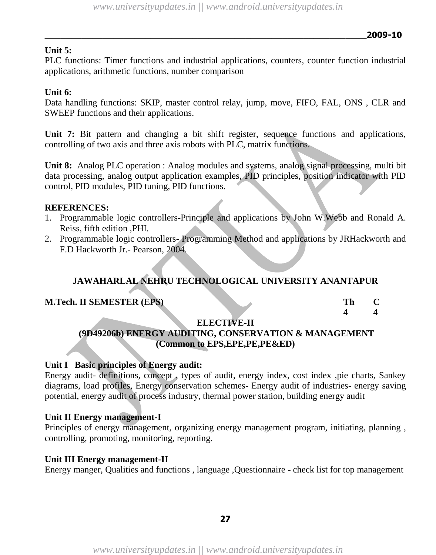# **Unit 5:**

PLC functions: Timer functions and industrial applications, counters, counter function industrial applications, arithmetic functions, number comparison

### **Unit 6:**

Data handling functions: SKIP, master control relay, jump, move, FIFO, FAL, ONS , CLR and SWEEP functions and their applications.

Unit 7: Bit pattern and changing a bit shift register, sequence functions and applications, controlling of two axis and three axis robots with PLC, matrix functions.

**Unit 8:** Analog PLC operation : Analog modules and systems, analog signal processing, multi bit data processing, analog output application examples, PID principles, position indicator with PID control, PID modules, PID tuning, PID functions.

### **REFERENCES:**

- 1. Programmable logic controllers-Principle and applications by John W.Webb and Ronald A. Reiss, fifth edition ,PHI.
- 2. Programmable logic controllers- Programming Method and applications by JRHackworth and F.D Hackworth Jr.- Pearson, 2004.

# **JAWAHARLAL NEHRU TECHNOLOGICAL UNIVERSITY ANANTAPUR**

# **M.Tech. II SEMESTER (EPS)**

| Th |   |
|----|---|
| 4  | 4 |

### **ELECTIVE-II**

# **(9D49206b) ENERGY AUDITING, CONSERVATION & MANAGEMENT (Common to EPS,EPE,PE,PE&ED)**

### **Unit I Basic principles of Energy audit:**

Energy audit- definitions, concept , types of audit, energy index, cost index ,pie charts, Sankey diagrams, load profiles, Energy conservation schemes- Energy audit of industries- energy saving potential, energy audit of process industry, thermal power station, building energy audit

# **Unit II Energy management-I**

Principles of energy management, organizing energy management program, initiating, planning , controlling, promoting, monitoring, reporting.

### **Unit III Energy management-II**

Energy manger, Qualities and functions , language ,Questionnaire - check list for top management